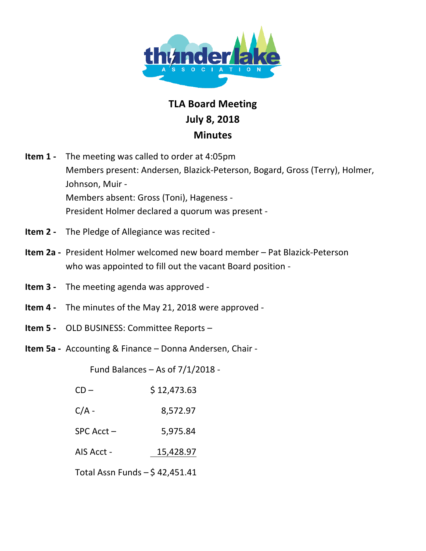

## **TLA!Board!Meeting July!8,!2018 Minutes**

- **Item 1** The meeting was called to order at 4:05pm Members present: Andersen, Blazick-Peterson, Bogard, Gross (Terry), Holmer, Johnson, Muir -Members absent: Gross (Toni), Hageness -President Holmer declared a quorum was present -
- **Item 2** The Pledge of Allegiance was recited -
- **Item 2a** President Holmer welcomed new board member Pat Blazick-Peterson who was appointed to fill out the vacant Board position -
- **Item 3** The meeting agenda was approved -
- **Item 4 -** The minutes of the May 21, 2018 were approved -
- **Item 5** OLD BUSINESS: Committee Reports –
- **Item 5a** Accounting & Finance Donna Andersen, Chair -

Fund Balances – As of  $7/1/2018$  -

| $CD -$         | \$12,473.63 |
|----------------|-------------|
| $C/A -$        | 8,572.97    |
| $SPC$ Acct $-$ | 5,975.84    |
| AIS Acct -     | 15,428.97   |

Total Assn Funds  $-$  \$42,451.41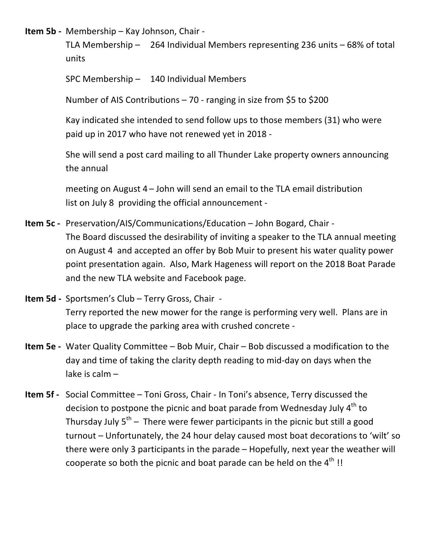**Item 5b** - Membership – Kay Johnson, Chair -

TLA Membership – 264 Individual Members representing 236 units – 68% of total units

SPC Membership  $-$  140 Individual Members

Number of AIS Contributions – 70 - ranging in size from \$5 to \$200

Kay indicated she intended to send follow ups to those members (31) who were paid up in 2017 who have not renewed yet in 2018 -

She will send a post card mailing to all Thunder Lake property owners announcing the annual

meeting on August  $4$  – John will send an email to the TLA email distribution list on July 8 providing the official announcement -

- **Item 5c** Preservation/AIS/Communications/Education John Bogard, Chair -The Board discussed the desirability of inviting a speaker to the TLA annual meeting on August 4 and accepted an offer by Bob Muir to present his water quality power point presentation again. Also, Mark Hageness will report on the 2018 Boat Parade and the new TLA website and Facebook page.
- **Item 5d Sportsmen's Club Terry Gross, Chair -**Terry reported the new mower for the range is performing very well. Plans are in place to upgrade the parking area with crushed concrete -
- **Item 5e** Water Quality Committee Bob Muir, Chair Bob discussed a modification to the day and time of taking the clarity depth reading to mid-day on days when the lake is calm $-$
- Item 5f Social Committee Toni Gross, Chair In Toni's absence, Terry discussed the decision to postpone the picnic and boat parade from Wednesday July  $4<sup>th</sup>$  to Thursday July  $5<sup>th</sup>$  – There were fewer participants in the picnic but still a good turnout – Unfortunately, the 24 hour delay caused most boat decorations to 'wilt' so there were only 3 participants in the parade – Hopefully, next year the weather will cooperate so both the picnic and boat parade can be held on the  $4<sup>th</sup>$ !!